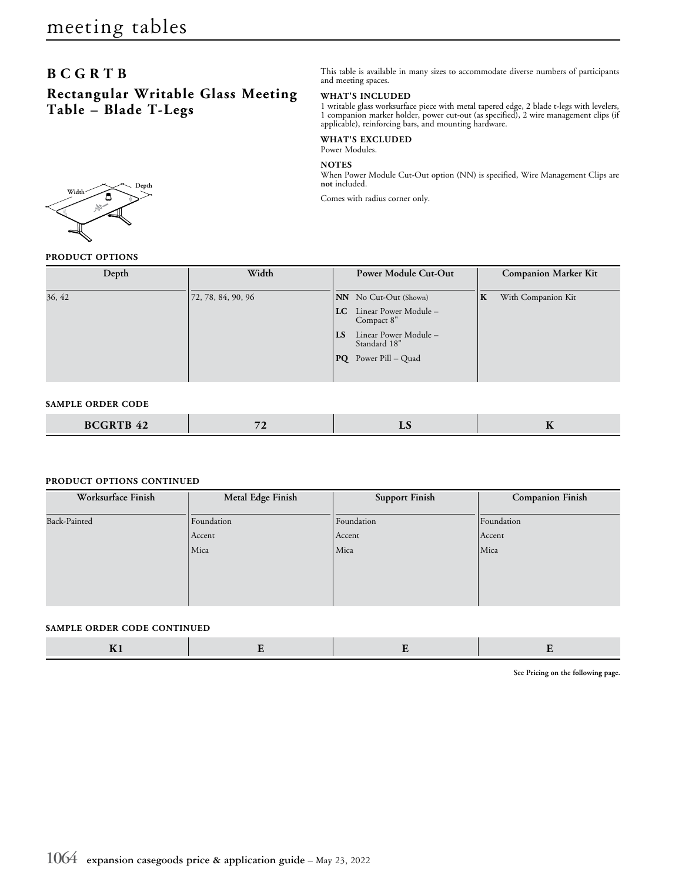## **BCGRTB**

**Rectangular Writable Glass Meeting Table – Blade T-Legs**

This table is available in many sizes to accommodate diverse numbers of participants and meeting spaces.

### **WHAT'S INCLUDED**

1 writable glass worksurface piece with metal tapered edge, 2 blade t-legs with levelers, 1 companion marker holder, power cut-out (as specified), 2 wire management clips (if applicable), reinforcing bars, and mounting hardware.

## **WHAT'S EXCLUDED**

Power Modules.

## **NOTES**

When Power Module Cut-Out option (NN) is specified, Wire Management Clips are **not** included.



## **PRODUCT OPTIONS**

| Depth  | Width              | <b>Power Module Cut-Out</b>                        | <b>Companion Marker Kit</b> |
|--------|--------------------|----------------------------------------------------|-----------------------------|
| 36, 42 | 72, 78, 84, 90, 96 | <b>NN</b> No Cut-Out (Shown)                       | K<br>With Companion Kit     |
|        |                    | Linear Power Module -<br>$_{\rm LC}$<br>Compact 8" |                             |
|        |                    | Linear Power Module -<br>LS<br>Standard 18"        |                             |
|        |                    | $PQ$ Power Pill – Quad                             |                             |
|        |                    |                                                    |                             |

#### **SAMPLE ORDER CODE**

|  | <b>BCGRTB 42</b> | $\sim$ | ≖ | -- |
|--|------------------|--------|---|----|
|--|------------------|--------|---|----|

#### **PRODUCT OPTIONS CONTINUED**

| Worksurface Finish | Metal Edge Finish | <b>Support Finish</b> | <b>Companion Finish</b> |
|--------------------|-------------------|-----------------------|-------------------------|
| Back-Painted       | Foundation        | Foundation            | Foundation              |
|                    | Accent            | Accent                | Accent                  |
|                    | Mica              | Mica                  | Mica                    |
|                    |                   |                       |                         |
|                    |                   |                       |                         |
|                    |                   |                       |                         |
|                    |                   |                       |                         |

#### **SAMPLE ORDER CODE CONTINUED**

**See Pricing on the following page.**